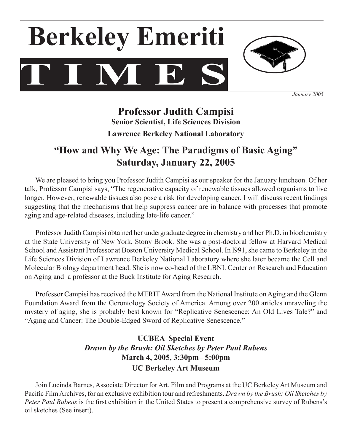



*January 2005*

# **Professor Judith Campisi Senior Scientist, Life Sciences Division Lawrence Berkeley National Laboratory**

# **"How and Why We Age: The Paradigms of Basic Aging" Saturday, January 22, 2005**

We are pleased to bring you Professor Judith Campisi as our speaker for the January luncheon. Of her talk, Professor Campisi says, "The regenerative capacity of renewable tissues allowed organisms to live longer. However, renewable tissues also pose a risk for developing cancer. I will discuss recent findings suggesting that the mechanisms that help suppress cancer are in balance with processes that promote aging and age-related diseases, including late-life cancer."

Professor Judith Campisi obtained her undergraduate degree in chemistry and her Ph.D. in biochemistry at the State University of New York, Stony Brook. She was a post-doctoral fellow at Harvard Medical School and Assistant Professor at Boston University Medical School. In 1991, she came to Berkeley in the Life Sciences Division of Lawrence Berkeley National Laboratory where she later became the Cell and Molecular Biology department head. She is now co-head of the LBNLCenter on Research and Education on Aging and a professor at the Buck Institute for Aging Research.

Professor Campisi has received the MERIT Award from the National Institute on Aging and the Glenn Foundation Award from the Gerontology Society of America. Among over 200 articles unraveling the mystery of aging, she is probably best known for "Replicative Senescence: An Old Lives Tale?" and "Aging and Cancer: The Double-Edged Sword of Replicative Senescence."

## **UCBEA Special Event** *Drawn by the Brush: Oil Sketches by Peter Paul Rubens* **March 4, 2005, 3:30pm– 5:00pm UC Berkeley Art Museum**

Join Lucinda Barnes, Associate Director for Art, Film and Programs at the UC Berkeley Art Museum and Pacific Film Archives, for an exclusive exhibition tour and refreshments. *Drawn by the Brush: Oil Sketches by Peter Paul Rubens* is the first exhibition in the United States to present a comprehensive survey of Rubens's oil sketches (See insert).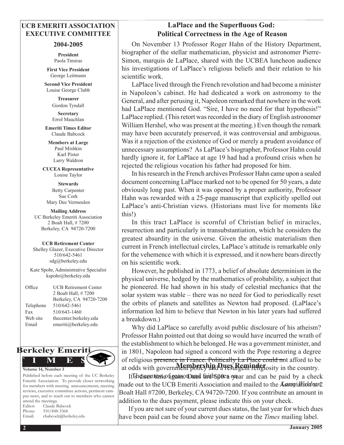### **UCB EMERITI ASSOCIATION EXECUTIVE COMMITTEE**

#### **2004-2005**

**President** Paola Timiras

**First Vice President** George Leitmann

**Second Vice President** Louise George Clubb

> **Treasurer**  Gordon Tyndall **Secretary**

Errol Mauchlan

**Emeriti Times Editor** Claude Babcock

**Members at Large** Paul Mishkin Karl Pister Larry Waldron

**CUCEA Representative** Louise Taylor

**Stewards** Betty Carpenter Sue Cork Mary Dee Vermeulen

**Mailing Address** UC Berkeley Emeriti Association 2 Boalt Hall, # 7200 Berkeley, CA 94720-7200

#### **UCB Retirement Center**

Shelley Glazer, Executive Director 510/642-5461 sdg@berkeley.edu

Kate Spohr, Administrative Specialist kspohr@berkeley.edu

| Office    | <b>UCB Retirement Center</b> |
|-----------|------------------------------|
|           | 2 Boalt Hall, #7200          |
|           | Berkeley, CA 94720-7200      |
| Telephone | 510/642-5461                 |
| Fax       | 510/643-1460                 |
| Web site  | thecenter.berkeley.edu       |
| Email     | emeriti@berkeley.edu         |



Published before each meeting of the UC Berkeley Emeriti Association: To provide closer networking for members with meeting announcements, meeting reviews, executive committee actions, pertinent campus news, and to reach out to members who cannot attend the meetings. Editor: Claude Babcock

|                      | L'anche rissociation. To provide cioser networkin   |
|----------------------|-----------------------------------------------------|
|                      | for members with meeting announcements, meetin      |
|                      | reviews, executive committee actions, pertinent can |
|                      | pus news, and to reach out to members who canno     |
| attend the meetings. |                                                     |
|                      | Editor: Claude Babcock                              |
|                      | Phone: 510/848-3368                                 |

| Phone: | 510/848-3368          |
|--------|-----------------------|
| Email: | cbabcock@berkeley.edu |

### **LaPlace and the Superfluous God: Political Correctness in the Age of Reason**

On November 13 Professor Roger Hahn of the History Department, biographer of the stellar mathematician, physicist and astronomer Pierre-Simon, marquis de LaPlace, shared with the UCBEA luncheon audience his investigations of LaPlace's religious beliefs and their relation to his scientific work.

 LaPlace lived through the French revolution and had become a minister in Napoleon's cabinet. He had dedicated a work on astronomy to the General, and after perusing it, Napoleon remarked that nowhere in the work had LaPlace mentioned God. "Sire, I have no need for that hypothesis!" LaPlace replied. (This retort was recorded in the diary of English astronomer William Hershel, who was present at the meeting.) Even though the remark may have been accurately preserved, it was controversial and ambiguous. Was it a rejection of the existence of God or merely a prudent avoidance of unnecessary assumptions? As LaPlace's biographer, Professor Hahn could hardly ignore it, for LaPlace at age 19 had had a profound crisis when he rejected the religious vocation his father had proposed for him.

 In hisresearch in the French archives Professor Hahn came upon a sealed document concerning LaPlace marked not to be opened for 50 years, a date obviously long past. When it was opened by a proper authority, Professor Hahn was rewarded with a 25-page manuscript that explicitly spelled out LaPlace's anti-Christian views. (Historians must live for moments like this!)

 In this tract LaPlace is scornful of Christian belief in miracles, resurrection and particularly in transubstantiation, which he considers the greatest absurdity in the universe. Given the atheistic materialism then current in French intellectual circles, LaPlace's attitude is remarkable only for the vehemence with which it is expressed, and it nowhere bears directly on his scientific work.

However, he published in 1773, a belief of absolute determinism in the physical universe, hedged by the mathematics of probability, a subject that he pioneered. He had shown in his study of celestial mechanics that the solar system was stable – there was no need for God to periodically reset the orbits of planets and satellites as Newton had proposed. (LaPlace's information led him to believe that Newton in his later years had suffered a breakdown.)

 Why did LaPlace so carefully avoid public disclosure of his atheism? Professor Hahn pointed out that doing so would have incurred the wrath of the establishment to which he belonged. He was a government minister, and in 1801, Napoleon had signed a concord with the Pope restoring a degree of religious presence in France. Politically La Place could not afford to be at odds with government portship Dues Reminder osity in the country.

It Ishel ween tent contegration Daned faith goes onear and can be paid by a check made out to the UCB Emeriti Association and mailed to the Association at 2 Boalt Hall #7200, Berkeley, CA 94720-7200. If you contribute an amount in addition to the dues payment, please indicate this on your check.

If you are not sure of your current dues status, the last year for which dues have been paid can be found above your name on the *Times* mailing label.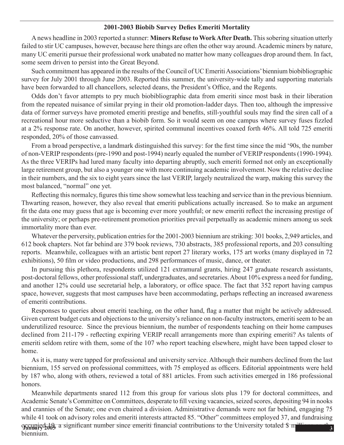#### **2001-2003 Biobib Survey Defies Emeriti Mortality**

A news headline in 2003 reported a stunner: **Miners Refuse to Work After Death.** Thissobering situation utterly failed to stir UC campuses, however, because here things are often the other way around. Academic miners by nature, many UC emeriti pursue their professional work unabated no matter how many colleagues drop around them. In fact, some seem driven to persist into the Great Beyond.

Such commitment has appeared in the results of the Council of UC Emeriti Associations' biennium biobibliographic survey for July 2001 through June 2003. Reported this summer, the university-wide tally and supporting materials have been forwarded to all chancellors, selected deans, the President's Office, and the Regents.

Odds don't favor attempts to pry much biobibliographic data from emeriti since most bask in their liberation from the repeated nuisance of similar prying in their old promotion-ladder days. Then too, although the impressive data of former surveys have promoted emeriti prestige and benefits, still-youthful souls may find the siren call of a recreational hour more seductive than a biobib form. So it would seem on one campus where survey fuses fizzled at a 2% response rate. On another, however, spirited communal incentives coaxed forth 46%. All told 725 emeriti responded, 20% of those canvassed.

From a broad perspective, a landmark distinguished this survey: for the first time since the mid '90s, the number of non-VERIP respondents (pre-1990 and post-1994) nearly equaled the number of VERIP respondents (1990-1994). As the three VERIPs had lured many faculty into departing abruptly, such emeriti formed not only an exceptionally large retirement group, but also a younger one with more continuing academic involvement. Now the relative decline in their numbers, and the six to eight years since the last VERIP, largely neutralized the warp, making this survey the most balanced, "normal" one yet.

Reflecting this normalcy, figures this time show somewhat less teaching and service than in the previous biennium. Thwarting reason, however, they also reveal that emeriti publications actually increased. So to make an argument fit the data one may guess that age is becoming ever more youthful; or new emeriti reflect the increasing prestige of the university; or perhaps pre-retirement promotion priorities prevail perpetually as academic miners among us seek immortality more than ever.

Whatever the perversity, publication entries for the 2001-2003 biennium are striking: 301 books, 2,949 articles, and 612 book chapters. Not far behind are 379 book reviews, 730 abstracts, 385 professional reports, and 203 consulting reports. Meanwhile, colleagues with an artistic bent report 27 literary works, 175 art works (many displayed in 72 exhibitions), 50 film or video productions, and 298 performances of music, dance, or theater.

In pursuing this plethora, respondents utilized 121 extramural grants, hiring 247 graduate research assistants, post-doctoral fellows, other professional staff, undergraduates, and secretaries. About 10% express a need for funding, and another 12% could use secretarial help, a laboratory, or office space. The fact that 352 report having campus space, however, suggests that most campuses have been accommodating, perhaps reflecting an increased awareness of emeriti contributions.

Responses to queries about emeriti teaching, on the other hand, flag a matter that might be actively addressed. Given current budget cuts and objections to the university's reliance on non-faculty instructors, emeriti seem to be an underutilized resource. Since the previous biennium, the number of respondents teaching on their home campuses declined from 211-179 - reflecting expiring VERIP recall arrangements more than expiring emeriti? As talents of emeriti seldom retire with them, some of the 107 who report teaching elsewhere, might have been tapped closer to home.

 As it is, many were tapped for professional and university service. Although their numbers declined from the last biennium, 155 served on professional committees, with 75 employed as officers. Editorial appointments were held by 187 who, along with others, reviewed a total of 881 articles. From such activities emerged in 186 professional honors.

**occupied 10, a** significant number since emeriti financial contributions to the University totaled \$ m<sup>illi</sup> Meanwhile departments snared 112 from this group for various slots plus 179 for doctoral committees, and Academic Senate's Committee on Committees, desperate to fill vexing vacancies, seized scores, depositing 94 in nooks and crannies of the Senate; one even chaired a division. Administrative demands were not far behind, engaging 75 while 41 took on advisory roles and emeriti interests attracted 85. "Other" committees employed 37, and fundraising biennium.